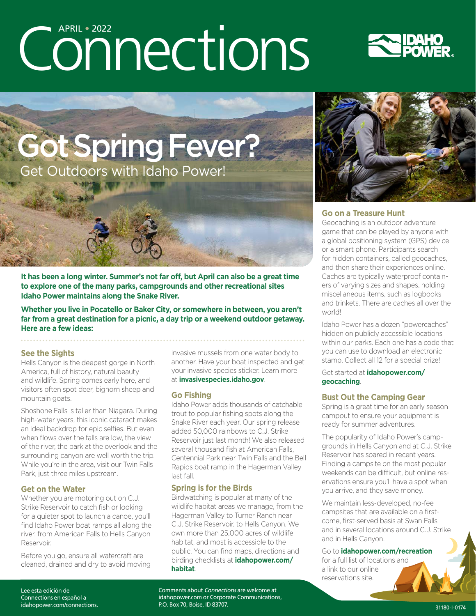# Connections





**It has been a long winter. Summer's not far off, but April can also be a great time to explore one of the many parks, campgrounds and other recreational sites Idaho Power maintains along the Snake River.**

**Whether you live in Pocatello or Baker City, or somewhere in between, you aren't far from a great destination for a picnic, a day trip or a weekend outdoor getaway. Here are a few ideas:**

#### **See the Sights**

Hells Canyon is the deepest gorge in North America, full of history, natural beauty and wildlife. Spring comes early here, and visitors often spot deer, bighorn sheep and mountain goats.

Shoshone Falls is taller than Niagara. During high-water years, this iconic cataract makes an ideal backdrop for epic selfies. But even when flows over the falls are low, the view of the river, the park at the overlook and the surrounding canyon are well worth the trip. While you're in the area, visit our Twin Falls Park, just three miles upstream.

#### **Get on the Water**

Whether you are motoring out on C.J. Strike Reservoir to catch fish or looking for a quieter spot to launch a canoe, you'll find Idaho Power boat ramps all along the river, from American Falls to Hells Canyon Reservoir.

Before you go, ensure all watercraft are cleaned, drained and dry to avoid moving invasive mussels from one water body to another. Have your boat inspected and get your invasive species sticker. Learn more at **[invasivespecies.idaho.gov](https://invasivespecies.idaho.gov/)**.

#### **Go Fishing**

Idaho Power adds thousands of catchable trout to popular fishing spots along the Snake River each year. Our spring release added 50,000 rainbows to C.J. Strike Reservoir just last month! We also released several thousand fish at American Falls, Centennial Park near Twin Falls and the Bell Rapids boat ramp in the Hagerman Valley last fall.

#### **Spring is for the Birds**

Birdwatching is popular at many of the wildlife habitat areas we manage, from the Hagerman Valley to Turner Ranch near C.J. Strike Reservoir, to Hells Canyon. We own more than 25,000 acres of wildlife habitat, and most is accessible to the public. You can find maps, directions and birding checklists at **[idahopower.com/](https://www.idahopower.com/energy-environment/environmental-stewardship/wildlife-habitat/) [habitat](https://www.idahopower.com/energy-environment/environmental-stewardship/wildlife-habitat/)**.





#### **Go on a Treasure Hunt**

Geocaching is an outdoor adventure game that can be played by anyone with a global positioning system (GPS) device or a smart phone. Participants search for hidden containers, called geocaches, and then share their experiences online. Caches are typically waterproof containers of varying sizes and shapes, holding miscellaneous items, such as logbooks and trinkets. There are caches all over the world!

Idaho Power has a dozen "powercaches" hidden on publicly accessible locations within our parks. Each one has a code that you can use to download an electronic stamp. Collect all 12 for a special prize!

Get started at **[idahopower.com/](https://www.idahopower.com/community-recreation/recreation/geocaching/) [geocaching](https://www.idahopower.com/community-recreation/recreation/geocaching/)**.

#### **Bust Out the Camping Gear**

Spring is a great time for an early season campout to ensure your equipment is ready for summer adventures.

The popularity of Idaho Power's campgrounds in Hells Canyon and at C.J. Strike Reservoir has soared in recent years. Finding a campsite on the most popular weekends can be difficult, but online reservations ensure you'll have a spot when you arrive, and they save money.

We maintain less-developed, no-fee campsites that are available on a firstcome, first-served basis at Swan Falls and in several locations around C.J. Strike and in Hells Canyon.

#### Go to **[idahopower.com/recreation](https://www.idahopower.com/community-recreation/recreation/)**

for a full list of locations and a link to our online reservations site.